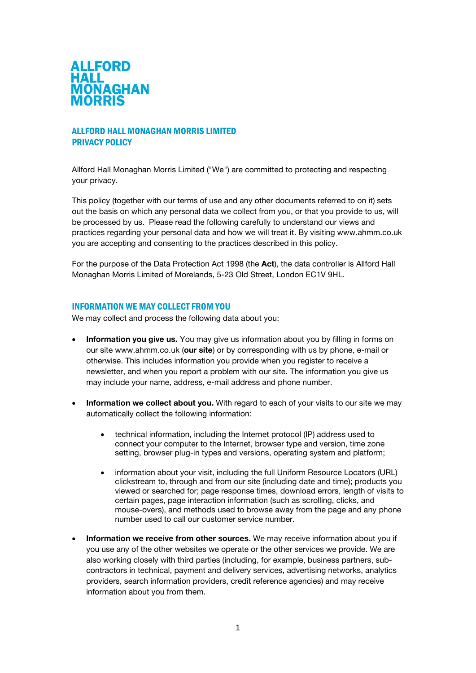

# ALLFORD HALL MONAGHAN MORRIS LIMITED PRIVACY POLICY

Allford Hall Monaghan Morris Limited ("We") are committed to protecting and respecting your privacy.

This policy (together with our terms of use and any other documents referred to on it) sets out the basis on which any personal data we collect from you, or that you provide to us, will be processed by us. Please read the following carefully to understand our views and practices regarding your personal data and how we will treat it. By visiting www.ahmm.co.uk you are accepting and consenting to the practices described in this policy.

For the purpose of the Data Protection Act 1998 (the **Act**), the data controller is Allford Hall Monaghan Morris Limited of Morelands, 5-23 Old Street, London EC1V 9HL.

## INFORMATION WE MAY COLLECT FROM YOU

We may collect and process the following data about you:

- **Information you give us.** You may give us information about you by filling in forms on our site www.ahmm.co.uk (**our site**) or by corresponding with us by phone, e-mail or otherwise. This includes information you provide when you register to receive a newsletter, and when you report a problem with our site. The information you give us may include your name, address, e-mail address and phone number.
- **Information we collect about you.** With regard to each of your visits to our site we may automatically collect the following information:
	- technical information, including the Internet protocol (IP) address used to connect your computer to the Internet, browser type and version, time zone setting, browser plug-in types and versions, operating system and platform;
	- information about your visit, including the full Uniform Resource Locators (URL) clickstream to, through and from our site (including date and time); products you viewed or searched for; page response times, download errors, length of visits to certain pages, page interaction information (such as scrolling, clicks, and mouse-overs), and methods used to browse away from the page and any phone number used to call our customer service number.
- **Information we receive from other sources.** We may receive information about you if you use any of the other websites we operate or the other services we provide. We are also working closely with third parties (including, for example, business partners, subcontractors in technical, payment and delivery services, advertising networks, analytics providers, search information providers, credit reference agencies) and may receive information about you from them.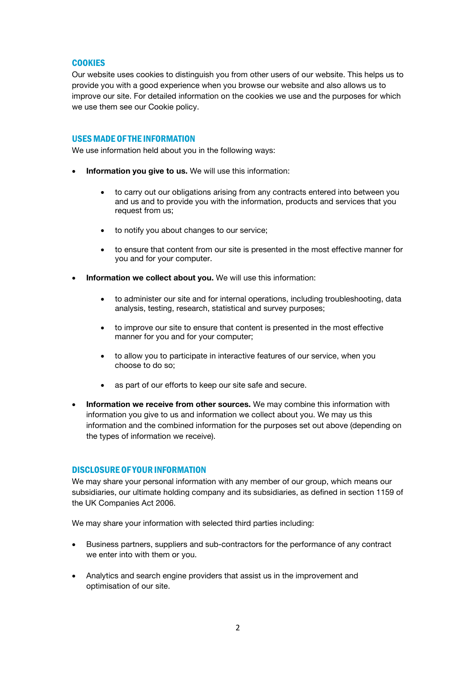# **COOKIES**

Our website uses cookies to distinguish you from other users of our website. This helps us to provide you with a good experience when you browse our website and also allows us to improve our site. For detailed information on the cookies we use and the purposes for which we use them see our Cookie policy.

### USESMADE OF THE INFORMATION

We use information held about you in the following ways:

- **Information you give to us.** We will use this information:
	- to carry out our obligations arising from any contracts entered into between you and us and to provide you with the information, products and services that you request from us;
	- to notify you about changes to our service;
	- to ensure that content from our site is presented in the most effective manner for you and for your computer.
- **Information we collect about you.** We will use this information:
	- to administer our site and for internal operations, including troubleshooting, data analysis, testing, research, statistical and survey purposes;
	- to improve our site to ensure that content is presented in the most effective manner for you and for your computer;
	- to allow you to participate in interactive features of our service, when you choose to do so;
	- as part of our efforts to keep our site safe and secure.
- **Information we receive from other sources.** We may combine this information with information you give to us and information we collect about you. We may us this information and the combined information for the purposes set out above (depending on the types of information we receive).

## DISCLOSURE OF YOUR INFORMATION

We may share your personal information with any member of our group, which means our subsidiaries, our ultimate holding company and its subsidiaries, as defined in section 1159 of the UK Companies Act 2006.

We may share your information with selected third parties including:

- Business partners, suppliers and sub-contractors for the performance of any contract we enter into with them or you.
- Analytics and search engine providers that assist us in the improvement and optimisation of our site.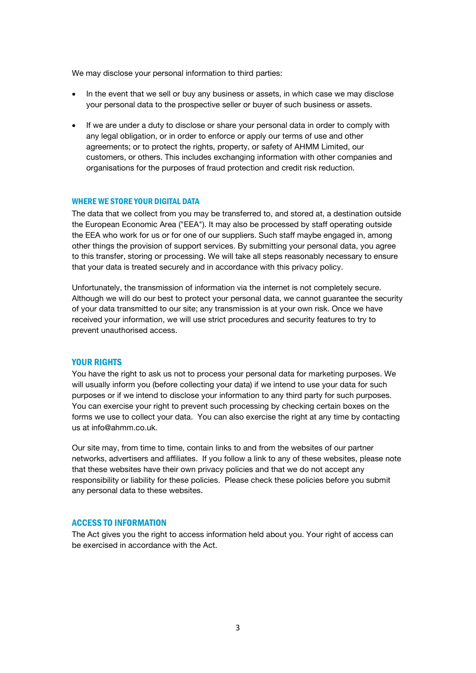We may disclose your personal information to third parties:

- In the event that we sell or buy any business or assets, in which case we may disclose your personal data to the prospective seller or buyer of such business or assets.
- If we are under a duty to disclose or share your personal data in order to comply with any legal obligation, or in order to enforce or apply our terms of use and other agreements; or to protect the rights, property, or safety of AHMM Limited, our customers, or others. This includes exchanging information with other companies and organisations for the purposes of fraud protection and credit risk reduction.

#### WHERE WE STORE YOUR DIGITAL DATA

The data that we collect from you may be transferred to, and stored at, a destination outside the European Economic Area ("EEA"). It may also be processed by staff operating outside the EEA who work for us or for one of our suppliers. Such staff maybe engaged in, among other things the provision of support services. By submitting your personal data, you agree to this transfer, storing or processing. We will take all steps reasonably necessary to ensure that your data is treated securely and in accordance with this privacy policy.

Unfortunately, the transmission of information via the internet is not completely secure. Although we will do our best to protect your personal data, we cannot guarantee the security of your data transmitted to our site; any transmission is at your own risk. Once we have received your information, we will use strict procedures and security features to try to prevent unauthorised access.

### YOUR RIGHTS

You have the right to ask us not to process your personal data for marketing purposes. We will usually inform you (before collecting your data) if we intend to use your data for such purposes or if we intend to disclose your information to any third party for such purposes. You can exercise your right to prevent such processing by checking certain boxes on the forms we use to collect your data. You can also exercise the right at any time by contacting us at info@ahmm.co.uk.

Our site may, from time to time, contain links to and from the websites of our partner networks, advertisers and affiliates. If you follow a link to any of these websites, please note that these websites have their own privacy policies and that we do not accept any responsibility or liability for these policies. Please check these policies before you submit any personal data to these websites.

### ACCESS TO INFORMATION

The Act gives you the right to access information held about you. Your right of access can be exercised in accordance with the Act.